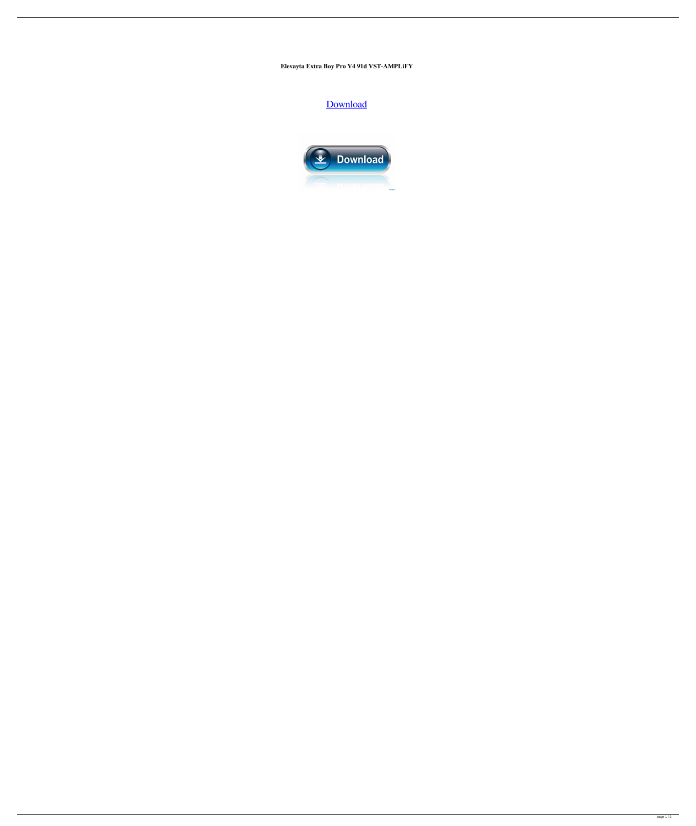Elevayta Extra Boy Pro V4 91d VST-AMPLiFY

Download

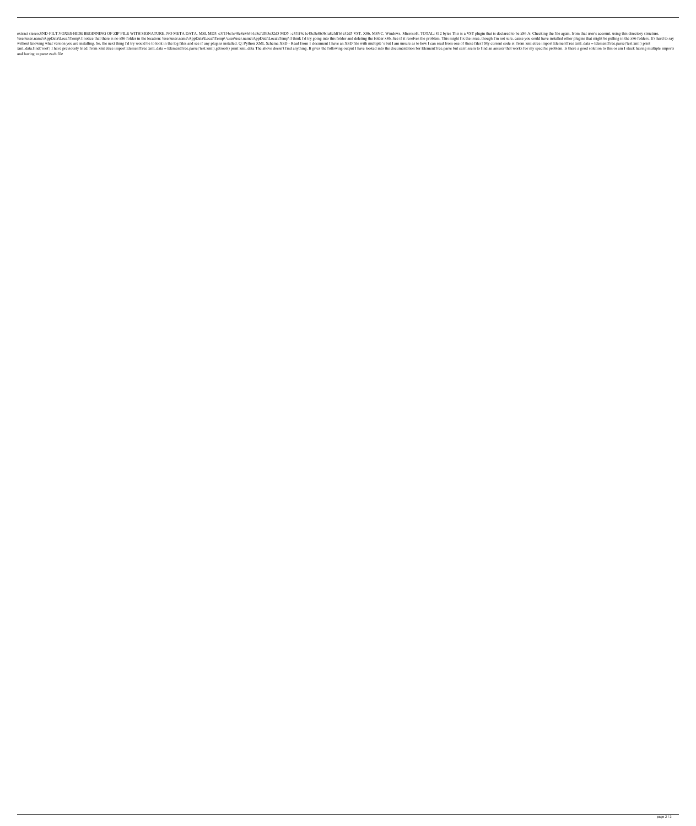extract stereo, SND-FILT, VOXES-HIDE BEGINNING OF ZIP FILE WITH SIGNATURE, NO META DATA. MSI, MD5: c3f1f4c1c48c8e863b1a8cfdfb3e32d5 MD5: c3f1f4c1c48c8e863b1a8cfdfb3e32d5 MD5: c3f1f4c1c48c8e863b1a8cfdfb3e32d5 VST, X86, MSVC \user\user.name\AppData\Local\Temp\ I notice that there is no x86 folder in the location: \user\user.name\AppData\Local\Temp\ \user\user.name\AppData\Local\Temp\ \user\user.name\AppData\Local\Temp\ I think I'd try going in without knowing what version you are installing. So, the next thing I'd try would be to look in the log files and see if any plugins installed. Q: Python XML Schema XSD - Read from 1 document I have an XSD file with multip xml\_data.find('root') I have previously tried: from xml.etree import ElementTree xml\_data = ElementTree.parse('test.xml').getroot() print xml\_data The above doesn't find anything. It gives the following output I have looke and having to parse each file